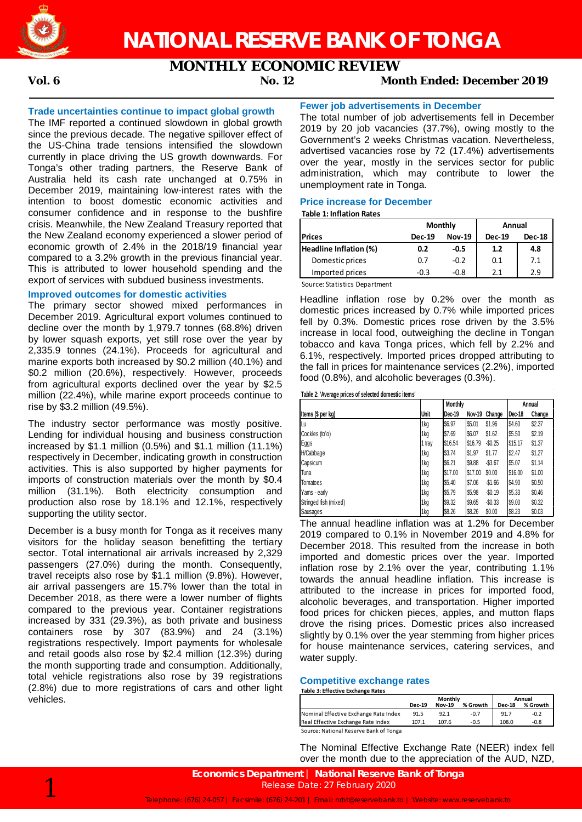

# **MONTHLY ECONOMIC REVIEW**

## **Vol. 6 No. 12 Month Ended: December 2019**

#### **Trade uncertainties continue to impact global growth**

The IMF reported a continued slowdown in global growth since the previous decade. The negative spillover effect of the US-China trade tensions intensified the slowdown currently in place driving the US growth downwards. For Tonga's other trading partners, the Reserve Bank of Australia held its cash rate unchanged at 0.75% in December 2019, maintaining low-interest rates with the intention to boost domestic economic activities and consumer confidence and in response to the bushfire crisis. Meanwhile, the New Zealand Treasury reported that the New Zealand economy experienced a slower period of economic growth of 2.4% in the 2018/19 financial year compared to a 3.2% growth in the previous financial year. This is attributed to lower household spending and the export of services with subdued business investments.

#### **Improved outcomes for domestic activities**

The primary sector showed mixed performances in December 2019. Agricultural export volumes continued to decline over the month by 1,979.7 tonnes (68.8%) driven by lower squash exports, yet still rose over the year by 2,335.9 tonnes (24.1%). Proceeds for agricultural and marine exports both increased by \$0.2 million (40.1%) and \$0.2 million (20.6%), respectively. However, proceeds from agricultural exports declined over the year by \$2.5 million (22.4%), while marine export proceeds continue to rise by \$3.2 million (49.5%).

The industry sector performance was mostly positive. Lending for individual housing and business construction increased by \$1.1 million (0.5%) and \$1.1 million (11.1%) respectively in December, indicating growth in construction activities. This is also supported by higher payments for imports of construction materials over the month by \$0.4 million (31.1%). Both electricity consumption and production also rose by 18.1% and 12.1%, respectively supporting the utility sector.

December is a busy month for Tonga as it receives many visitors for the holiday season benefitting the tertiary sector. Total international air arrivals increased by 2,329 passengers (27.0%) during the month. Consequently, travel receipts also rose by \$1.1 million (9.8%). However, air arrival passengers are 15.7% lower than the total in December 2018, as there were a lower number of flights compared to the previous year. Container registrations increased by 331 (29.3%), as both private and business containers rose by 307 (83.9%) and 24 (3.1%) registrations respectively. Import payments for wholesale and retail goods also rose by \$2.4 million (12.3%) during the month supporting trade and consumption. Additionally, total vehicle registrations also rose by 39 registrations (2.8%) due to more registrations of cars and other light vehicles.

### **Fewer job advertisements in December**

The total number of job advertisements fell in December 2019 by 20 job vacancies (37.7%), owing mostly to the Government's 2 weeks Christmas vacation. Nevertheless, advertised vacancies rose by 72 (17.4%) advertisements over the year, mostly in the services sector for public administration, which may contribute to lower the unemployment rate in Tonga.

#### **Price increase for December**

#### **Table 1: Inflation Rates**

|                        |               | Monthly       | Annual        |               |  |
|------------------------|---------------|---------------|---------------|---------------|--|
| <b>Prices</b>          | <b>Dec-19</b> | <b>Nov-19</b> | <b>Dec-19</b> | <b>Dec-18</b> |  |
| Headline Inflation (%) | 0.2           | -0.5          | 1.2           | 4.8           |  |
| Domestic prices        | 0.7           | $-0.2$        | 0.1           | 7.1           |  |
| Imported prices        | $-0.3$        | $-0.8$        | 21            | 2.9           |  |

Source: Statistics Department

Headline inflation rose by 0.2% over the month as domestic prices increased by 0.7% while imported prices fell by 0.3%. Domestic prices rose driven by the 3.5% increase in local food, outweighing the decline in Tongan tobacco and kava Tonga prices, which fell by 2.2% and 6.1%, respectively. Imported prices dropped attributing to the fall in prices for maintenance services (2.2%), imported food (0.8%), and alcoholic beverages (0.3%).

**Table 2: 'Average prices of selected domestic items'**

|                       |        | Monthly |         |            | Annual  |        |
|-----------------------|--------|---------|---------|------------|---------|--------|
| Items (\$ per kg)     | Unit   | Dec-19  | Nov-19  | Change     | Dec-18  | Change |
| Lu                    | 1kg    | \$6.97  | \$5.01  | \$1.96     | \$4.60  | \$2.37 |
| Cockles (to'o)        | 1kg    | \$7.69  | \$6.07  | \$1.62     | \$5.50  | \$2.19 |
| Eggs                  | 1 tray | \$16.54 | \$16.79 | $-$0.25$   | \$15.17 | \$1.37 |
| H/Cabbage             | 1kg    | \$3.74  | \$1.97  | \$1.77     | \$2.47  | \$1.27 |
| Capsicum              | 1kg    | \$6.21  | \$9.88  | $-$ \$3.67 | \$5.07  | \$1.14 |
| Tuna                  | 1kg    | \$17.00 | \$17.00 | \$0.00     | \$16.00 | \$1.00 |
| Tomatoes              | 1kg    | \$5.40  | \$7.06  | $-$1.66$   | \$4.90  | \$0.50 |
| Yams - early          | 1kg    | \$5.79  | \$5.98  | $-$0.19$   | \$5.33  | \$0.46 |
| Stringed fish (mixed) | 1kg    | \$9.32  | \$9.65  | $-$0.33$   | \$9.00  | \$0.32 |
| Sausages              | 1ka    | \$8.26  | \$8.26  | \$0.00     | \$8.23  | \$0.03 |

The annual headline inflation was at 1.2% for December 2019 compared to 0.1% in November 2019 and 4.8% for December 2018. This resulted from the increase in both imported and domestic prices over the year. Imported inflation rose by 2.1% over the year, contributing 1.1% towards the annual headline inflation. This increase is attributed to the increase in prices for imported food, alcoholic beverages, and transportation. Higher imported food prices for chicken pieces, apples, and mutton flaps drove the rising prices. Domestic prices also increased slightly by 0.1% over the year stemming from higher prices for house maintenance services, catering services, and water supply.

#### **Competitive exchange rates**

**Table 3: Effective Exchange Rates**

|                                        |               | Monthly       | Annual   |               |          |
|----------------------------------------|---------------|---------------|----------|---------------|----------|
|                                        | <b>Dec-19</b> | <b>Nov-19</b> | % Growth | <b>Dec-18</b> | % Growth |
| Nominal Effective Exchange Rate Index  | 91.5          | 92.1          | $-0.7$   | 91.7          | $-0.2$   |
| Real Effective Exchange Rate Index     | 107.1         | 107.6         | -0.5     | 108.0         | -0.8     |
| Source: National Reserve Bank of Tonga |               |               |          |               |          |

The Nominal Effective Exchange Rate (NEER) index fell over the month due to the appreciation of the AUD, NZD,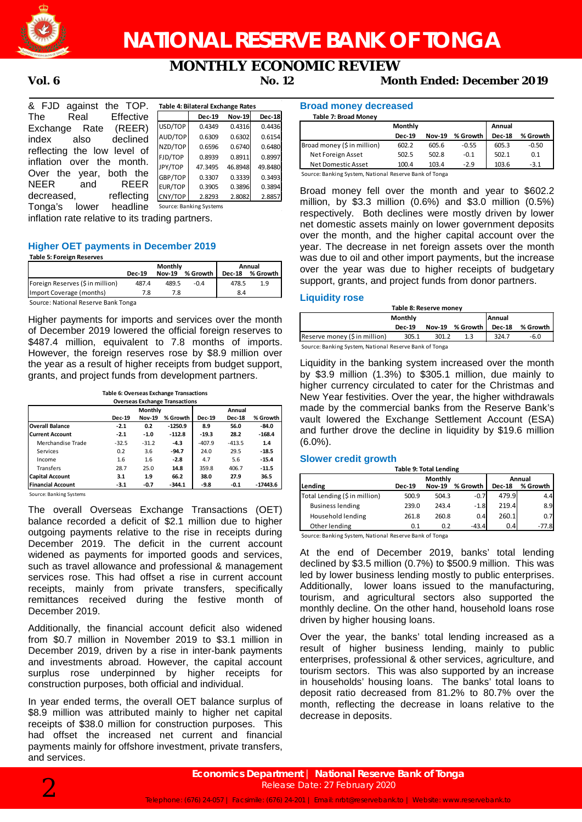

# **NATIONAL RESERVE BANK OF TONGA**

# **MONTHLY ECONOMIC REVIEW**

**Vol. 6 No. 12 Month Ended: December 2019**

| & FJD against the TOP.       |         | Table 4: Bilateral Exchange Rates |               |               |
|------------------------------|---------|-----------------------------------|---------------|---------------|
| Effective<br>The<br>Real     |         | <b>Dec-19</b>                     | <b>Nov-19</b> | <b>Dec-18</b> |
| Rate (REER)<br>Exchange      | USD/TOP | 0.4349                            | 0.4316        | 0.4436        |
| declined<br>index<br>also    | AUD/TOP | 0.6309                            | 0.6302        | 0.6154        |
| reflecting the low level of  | NZD/TOP | 0.6596                            | 0.6740        | 0.6480        |
| inflation over the month.    | FJD/TOP | 0.8939                            | 0.8911        | 0.8997        |
|                              | JPY/TOP | 47.3495                           | 46.8948       | 49.8480       |
| Over the year, both the      | GBP/TOP | 0.3307                            | 0.3339        | 0.3493        |
| <b>REER</b><br>NEER<br>and   | EUR/TOP | 0.3905                            | 0.3896        | 0.3894        |
| reflecting<br>decreased,     | CNY/TOP | 2.8293                            | 2.8082        | 2.8857        |
| headline<br>Tonga's<br>lower |         | Source: Banking Systems           |               |               |

inflation rate relative to its trading partners.

#### **Higher OET payments in December 2019**

#### **Table 5: Foreign Reserves**

|                                     |               | Monthly       | Annual     |               |            |
|-------------------------------------|---------------|---------------|------------|---------------|------------|
|                                     | <b>Dec-19</b> | <b>Nov-19</b> | % Growth I | <b>Dec-18</b> | % Growth I |
| Foreign Reserves (\$ in million)    | 487.4         | 489.5         | $-0.4$     | 478.5         | 1.9        |
| Import Coverage (months)            |               | 7.8           |            | 8.4           |            |
| Cource: National Recense Rank Tongs |               |               |            |               |            |

Source: National Reserve Bank Tonga

Higher payments for imports and services over the month of December 2019 lowered the official foreign reserves to \$487.4 million, equivalent to 7.8 months of imports. However, the foreign reserves rose by \$8.9 million over the year as a result of higher receipts from budget support, grants, and project funds from development partners.

**Table 6: Overseas Exchange Transactions**

|                          |               | <b>Overseas Exchange Transactions</b><br><b>Monthly</b><br>Annual |           |               |               |            |
|--------------------------|---------------|-------------------------------------------------------------------|-----------|---------------|---------------|------------|
|                          |               |                                                                   |           |               |               |            |
|                          | <b>Dec-19</b> | <b>Nov-19</b>                                                     | % Growth  | <b>Dec-19</b> | <b>Dec-18</b> | % Growth   |
| <b>Overall Balance</b>   | $-2.1$        | 0.2                                                               | $-1250.9$ | 8.9           | 56.0          | $-84.0$    |
| <b>Current Account</b>   | $-2.1$        | $-1.0$                                                            | $-112.8$  | $-19.3$       | 28.2          | $-168.4$   |
| Merchandise Trade        | $-32.5$       | $-31.2$                                                           | $-4.3$    | $-407.9$      | $-413.5$      | 1.4        |
| Services                 | 0.2           | 3.6                                                               | $-94.7$   | 24.0          | 29.5          | $-18.5$    |
| Income                   | 1.6           | 1.6                                                               | $-2.8$    | 4.7           | 5.6           | $-15.4$    |
| <b>Transfers</b>         | 28.7          | 25.0                                                              | 14.8      | 359.8         | 406.7         | $-11.5$    |
| <b>Capital Account</b>   | 3.1           | 1.9                                                               | 66.2      | 38.0          | 27.9          | 36.5       |
| <b>Financial Account</b> | $-3.1$        | $-0.7$                                                            | $-344.1$  | -9.8          | $-0.1$        | $-17443.6$ |

Source: Banking Syste

The overall Overseas Exchange Transactions (OET) balance recorded a deficit of \$2.1 million due to higher outgoing payments relative to the rise in receipts during December 2019. The deficit in the current account widened as payments for imported goods and services, such as travel allowance and professional & management services rose. This had offset a rise in current account receipts, mainly from private transfers, specifically remittances received during the festive month of December 2019.

Additionally, the financial account deficit also widened from \$0.7 million in November 2019 to \$3.1 million in December 2019, driven by a rise in inter-bank payments and investments abroad. However, the capital account surplus rose underpinned by higher receipts for construction purposes, both official and individual.

In year ended terms, the overall OET balance surplus of \$8.9 million was attributed mainly to higher net capital receipts of \$38.0 million for construction purposes. This had offset the increased net current and financial payments mainly for offshore investment, private transfers, and services.

#### **Broad money decreased**

| Monthly       |               |          | Annual        |          |
|---------------|---------------|----------|---------------|----------|
| <b>Dec-19</b> | <b>Nov-19</b> | % Growth | <b>Dec-18</b> | % Growth |
| 602.2         | 605.6         | $-0.55$  | 605.3         | $-0.50$  |
| 502.5         | 502.8         | $-0.1$   | 502.1         | 0.1      |
| 100.4         | 103.4         | $-2.9$   | 103.6         | $-3.1$   |
|               |               |          |               |          |

Source: Banking System, National Reserve Bank of Tonga

Broad money fell over the month and year to \$602.2 million, by \$3.3 million (0.6%) and \$3.0 million (0.5%) respectively. Both declines were mostly driven by lower net domestic assets mainly on lower government deposits over the month, and the higher capital account over the year. The decrease in net foreign assets over the month was due to oil and other import payments, but the increase over the year was due to higher receipts of budgetary support, grants, and project funds from donor partners.

#### **Liquidity rose**

| Table 8: Reserve money                                 |                                    |       |     |       |          |  |  |
|--------------------------------------------------------|------------------------------------|-------|-----|-------|----------|--|--|
| Annual<br>Monthly                                      |                                    |       |     |       |          |  |  |
|                                                        | Nov-19 % Growth I<br><b>Dec-19</b> |       |     |       | % Growth |  |  |
| Reserve money (\$ in million)                          | 305.1                              | 301.2 | 1.3 | 324.7 | $-6.0$   |  |  |
| Source: Banking System, National Reserve Bank of Tonga |                                    |       |     |       |          |  |  |

Liquidity in the banking system increased over the month by \$3.9 million (1.3%) to \$305.1 million, due mainly to higher currency circulated to cater for the Christmas and New Year festivities. Over the year, the higher withdrawals made by the commercial banks from the Reserve Bank's vault lowered the Exchange Settlement Account (ESA) and further drove the decline in liquidity by \$19.6 million (6.0%).

#### **Slower credit growth**

| <b>Table 9: Total Lending</b> |                   |               |          |               |          |  |  |  |
|-------------------------------|-------------------|---------------|----------|---------------|----------|--|--|--|
|                               | Monthly<br>Annual |               |          |               |          |  |  |  |
| Lending                       | <b>Dec-19</b>     | <b>Nov-19</b> | % Growth | <b>Dec-18</b> | % Growth |  |  |  |
| Total Lending (\$ in million) | 500.9             | 504.3         | $-0.7$   | 479.9         | 4.4      |  |  |  |
| <b>Business lending</b>       | 239.0             | 243.4         | $-1.8$   | 219.4         | 8.9      |  |  |  |
| Household lending             | 261.8             | 260.8         | 0.4      | 260.1         | 0.7      |  |  |  |
| Other lending                 | 0.1               | 0.2           | $-43.4$  | 0.4           | $-77.8$  |  |  |  |

Source: Banking System, National Reserve Bank of Tonga

At the end of December 2019, banks' total lending declined by \$3.5 million (0.7%) to \$500.9 million. This was led by lower business lending mostly to public enterprises. Additionally, lower loans issued to the manufacturing, tourism, and agricultural sectors also supported the monthly decline. On the other hand, household loans rose driven by higher housing loans.

Over the year, the banks' total lending increased as a result of higher business lending, mainly to public enterprises, professional & other services, agriculture, and tourism sectors. This was also supported by an increase in households' housing loans. The banks' total loans to deposit ratio decreased from 81.2% to 80.7% over the month, reflecting the decrease in loans relative to the decrease in deposits.